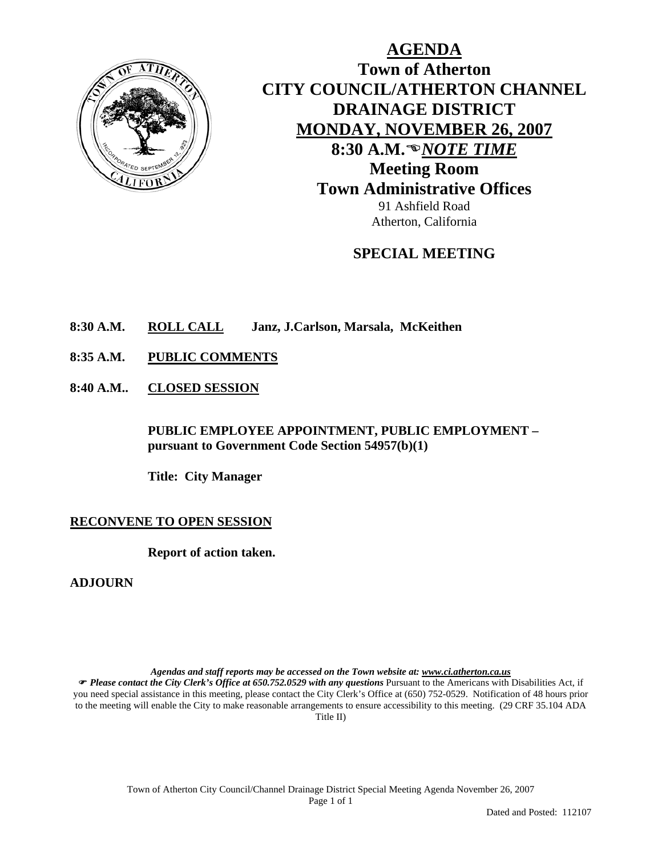

**AGENDA Town of Atherton CITY COUNCIL/ATHERTON CHANNEL DRAINAGE DISTRICT MONDAY, NOVEMBER 26, 2007** 8:30 A.M.<sup>®</sup>NOTE TIME **Meeting Room Town Administrative Offices**  91 Ashfield Road

**SPECIAL MEETING** 

Atherton, California

- **8:30 A.M. ROLL CALL Janz, J.Carlson, Marsala, McKeithen**
- **8:35 A.M. PUBLIC COMMENTS**
- **8:40 A.M.. CLOSED SESSION**

**PUBLIC EMPLOYEE APPOINTMENT, PUBLIC EMPLOYMENT – pursuant to Government Code Section 54957(b)(1)** 

**Title: City Manager** 

## **RECONVENE TO OPEN SESSION**

**Report of action taken.** 

**ADJOURN** 

*Agendas and staff reports may be accessed on the Town website at: www.ci.atherton.ca.us*

) *Please contact the City Clerk's Office at 650.752.0529 with any questions* Pursuant to the Americans with Disabilities Act, if you need special assistance in this meeting, please contact the City Clerk's Office at (650) 752-0529. Notification of 48 hours prior to the meeting will enable the City to make reasonable arrangements to ensure accessibility to this meeting. (29 CRF 35.104 ADA Title II)